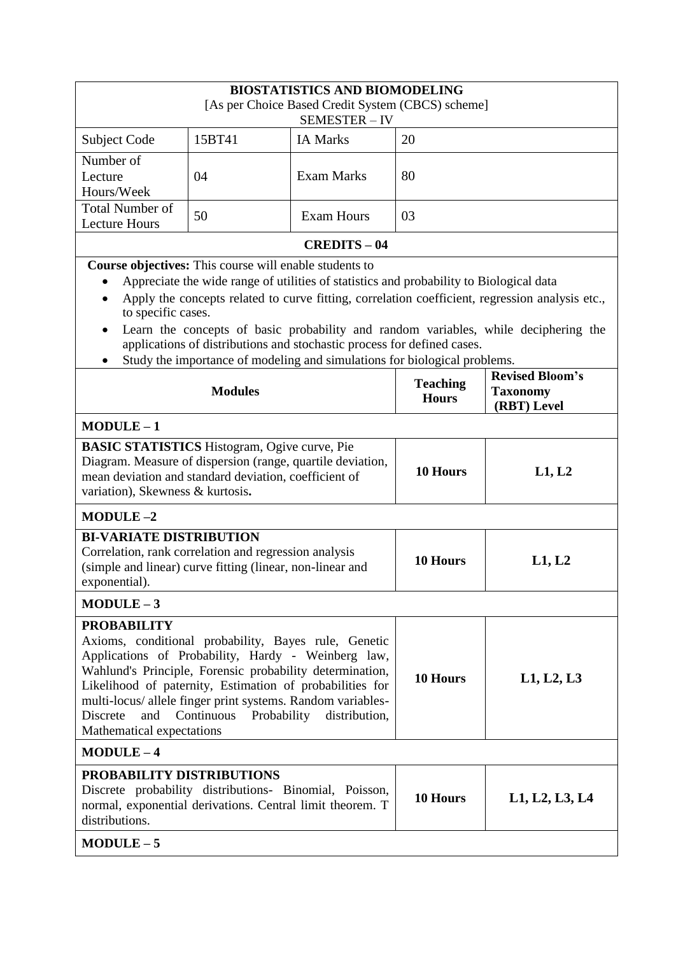|                                                                                                                                     | <b>BIOSTATISTICS AND BIOMODELING</b>                          |                                                                                         |                 |                                                                                                 |  |
|-------------------------------------------------------------------------------------------------------------------------------------|---------------------------------------------------------------|-----------------------------------------------------------------------------------------|-----------------|-------------------------------------------------------------------------------------------------|--|
| [As per Choice Based Credit System (CBCS) scheme]<br>SEMESTER-IV                                                                    |                                                               |                                                                                         |                 |                                                                                                 |  |
| Subject Code                                                                                                                        | 15BT41                                                        | <b>IA Marks</b>                                                                         | 20              |                                                                                                 |  |
| Number of                                                                                                                           |                                                               |                                                                                         |                 |                                                                                                 |  |
| Lecture<br>Hours/Week                                                                                                               | 04                                                            | <b>Exam Marks</b>                                                                       | 80              |                                                                                                 |  |
| <b>Total Number of</b>                                                                                                              | 50                                                            | <b>Exam Hours</b>                                                                       | 03              |                                                                                                 |  |
| <b>Lecture Hours</b>                                                                                                                |                                                               |                                                                                         |                 |                                                                                                 |  |
|                                                                                                                                     |                                                               | <b>CREDITS - 04</b>                                                                     |                 |                                                                                                 |  |
|                                                                                                                                     | <b>Course objectives:</b> This course will enable students to |                                                                                         |                 |                                                                                                 |  |
| $\bullet$                                                                                                                           |                                                               | Appreciate the wide range of utilities of statistics and probability to Biological data |                 | Apply the concepts related to curve fitting, correlation coefficient, regression analysis etc., |  |
| to specific cases.                                                                                                                  |                                                               |                                                                                         |                 |                                                                                                 |  |
|                                                                                                                                     |                                                               | applications of distributions and stochastic process for defined cases.                 |                 | Learn the concepts of basic probability and random variables, while deciphering the             |  |
|                                                                                                                                     |                                                               | Study the importance of modeling and simulations for biological problems.               |                 |                                                                                                 |  |
|                                                                                                                                     |                                                               |                                                                                         | <b>Teaching</b> | <b>Revised Bloom's</b>                                                                          |  |
|                                                                                                                                     | <b>Modules</b>                                                |                                                                                         | <b>Hours</b>    | <b>Taxonomy</b><br>(RBT) Level                                                                  |  |
| $MODULE-1$                                                                                                                          |                                                               |                                                                                         |                 |                                                                                                 |  |
| <b>BASIC STATISTICS</b> Histogram, Ogive curve, Pie                                                                                 |                                                               |                                                                                         |                 |                                                                                                 |  |
| Diagram. Measure of dispersion (range, quartile deviation,                                                                          |                                                               |                                                                                         | 10 Hours        | L1, L2                                                                                          |  |
| mean deviation and standard deviation, coefficient of<br>variation), Skewness & kurtosis.                                           |                                                               |                                                                                         |                 |                                                                                                 |  |
| $MODULE-2$                                                                                                                          |                                                               |                                                                                         |                 |                                                                                                 |  |
| <b>BI-VARIATE DISTRIBUTION</b>                                                                                                      |                                                               |                                                                                         |                 |                                                                                                 |  |
| Correlation, rank correlation and regression analysis                                                                               |                                                               |                                                                                         |                 | L1, L2                                                                                          |  |
| (simple and linear) curve fitting (linear, non-linear and                                                                           |                                                               |                                                                                         | 10 Hours        |                                                                                                 |  |
| exponential).                                                                                                                       |                                                               |                                                                                         |                 |                                                                                                 |  |
| $MODULE-3$                                                                                                                          |                                                               |                                                                                         |                 |                                                                                                 |  |
| <b>PROBABILITY</b><br>Axioms, conditional probability, Bayes rule, Genetic                                                          |                                                               |                                                                                         |                 |                                                                                                 |  |
| Applications of Probability, Hardy - Weinberg law,                                                                                  |                                                               |                                                                                         |                 |                                                                                                 |  |
| Wahlund's Principle, Forensic probability determination,                                                                            |                                                               |                                                                                         | 10 Hours        | L1, L2, L3                                                                                      |  |
| Likelihood of paternity, Estimation of probabilities for                                                                            |                                                               |                                                                                         |                 |                                                                                                 |  |
| multi-locus/ allele finger print systems. Random variables-<br>Probability<br>distribution,<br>Continuous<br><b>Discrete</b><br>and |                                                               |                                                                                         |                 |                                                                                                 |  |
| Mathematical expectations                                                                                                           |                                                               |                                                                                         |                 |                                                                                                 |  |
| $MODULE-4$                                                                                                                          |                                                               |                                                                                         |                 |                                                                                                 |  |
| PROBABILITY DISTRIBUTIONS                                                                                                           |                                                               |                                                                                         |                 |                                                                                                 |  |
| Discrete probability distributions- Binomial, Poisson,<br>normal, exponential derivations. Central limit theorem. T                 |                                                               |                                                                                         | 10 Hours        | L1, L2, L3, L4                                                                                  |  |
| distributions.                                                                                                                      |                                                               |                                                                                         |                 |                                                                                                 |  |
| $MODULE-5$                                                                                                                          |                                                               |                                                                                         |                 |                                                                                                 |  |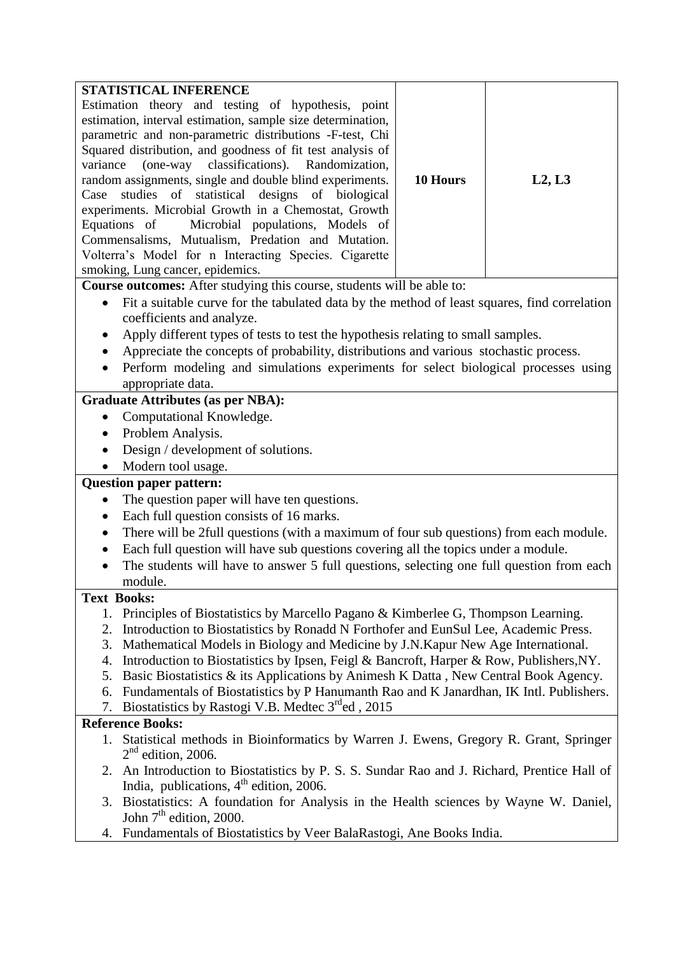| STATISTICAL INFERENCE                                       |          |        |
|-------------------------------------------------------------|----------|--------|
| Estimation theory and testing of hypothesis, point          |          |        |
| estimation, interval estimation, sample size determination, |          |        |
| parametric and non-parametric distributions -F-test, Chi    |          |        |
| Squared distribution, and goodness of fit test analysis of  |          |        |
| variance (one-way classifications). Randomization,          |          |        |
| random assignments, single and double blind experiments.    | 10 Hours | L2, L3 |
| Case studies of statistical designs of biological           |          |        |
| experiments. Microbial Growth in a Chemostat, Growth        |          |        |
| Equations of Microbial populations, Models of               |          |        |
| Commensalisms, Mutualism, Predation and Mutation.           |          |        |
| Volterra's Model for n Interacting Species. Cigarette       |          |        |
| smoking, Lung cancer, epidemics.                            |          |        |

**Course outcomes:** After studying this course, students will be able to:

- Fit a suitable curve for the tabulated data by the method of least squares, find correlation coefficients and analyze.
- Apply different types of tests to test the hypothesis relating to small samples.
- Appreciate the concepts of probability, distributions and various stochastic process.
- Perform modeling and simulations experiments for select biological processes using appropriate data.

# **Graduate Attributes (as per NBA):**

- Computational Knowledge.
- Problem Analysis.
- Design / development of solutions.
- Modern tool usage.

## **Question paper pattern:**

- The question paper will have ten questions.
- Each full question consists of 16 marks.
- There will be 2full questions (with a maximum of four sub questions) from each module.
- Each full question will have sub questions covering all the topics under a module.
- The students will have to answer 5 full questions, selecting one full question from each module.

## **Text Books:**

- 1. Principles of Biostatistics by Marcello Pagano & Kimberlee G, Thompson Learning.
- 2. Introduction to Biostatistics by Ronadd N Forthofer and EunSul Lee, Academic Press.
- 3. Mathematical Models in Biology and Medicine by J.N.Kapur New Age International.
- 4. Introduction to Biostatistics by Ipsen, Feigl & Bancroft, Harper & Row, Publishers,NY.
- 5. Basic Biostatistics & its Applications by Animesh K Datta , New Central Book Agency.
- 6. Fundamentals of Biostatistics by P Hanumanth Rao and K Janardhan, IK Intl. Publishers.

7. Biostatistics by Rastogi V.B. Medtec 3<sup>rd</sup>ed, 2015

- 1. Statistical methods in Bioinformatics by Warren J. Ewens, Gregory R. Grant, Springer  $2<sup>nd</sup>$  edition, 2006.
- 2. An Introduction to Biostatistics by P. S. S. Sundar Rao and J. Richard, Prentice Hall of India, publications,  $4<sup>th</sup>$  edition, 2006.
- 3. Biostatistics: A foundation for Analysis in the Health sciences by Wayne W. Daniel, John  $7<sup>th</sup>$  edition, 2000.
- 4. Fundamentals of Biostatistics by Veer BalaRastogi, Ane Books India.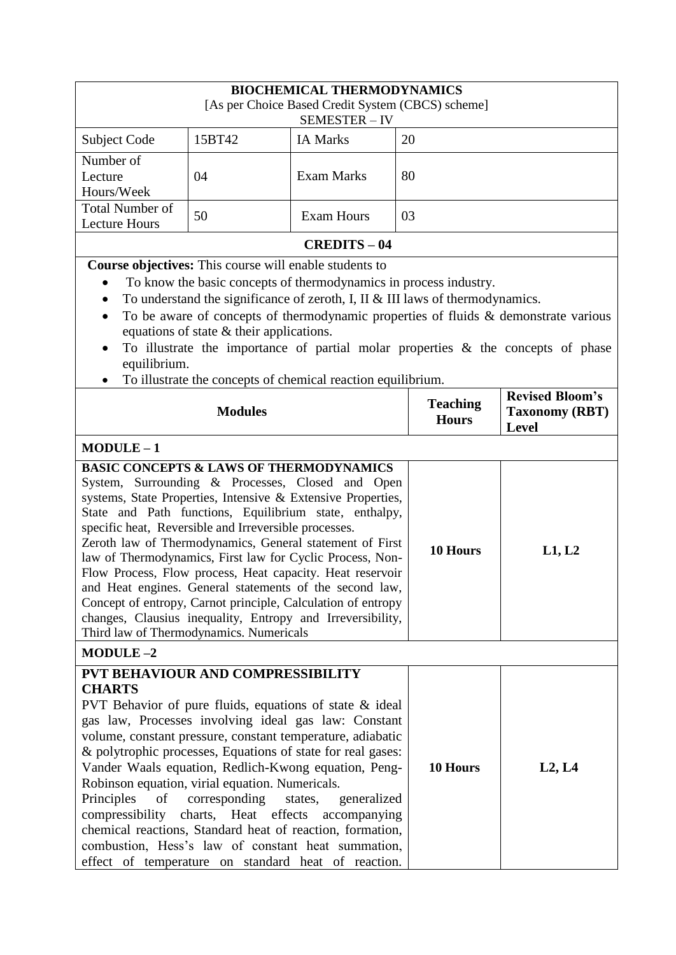| <b>BIOCHEMICAL THERMODYNAMICS</b>                                                                                         |                                                                                                             |                                                                                                                                                                                                                                                                                                                                                                                                                                                                                                                                                                                                                 |                                 |                                                                                                                                                                            |
|---------------------------------------------------------------------------------------------------------------------------|-------------------------------------------------------------------------------------------------------------|-----------------------------------------------------------------------------------------------------------------------------------------------------------------------------------------------------------------------------------------------------------------------------------------------------------------------------------------------------------------------------------------------------------------------------------------------------------------------------------------------------------------------------------------------------------------------------------------------------------------|---------------------------------|----------------------------------------------------------------------------------------------------------------------------------------------------------------------------|
| [As per Choice Based Credit System (CBCS) scheme]<br>SEMESTER-IV                                                          |                                                                                                             |                                                                                                                                                                                                                                                                                                                                                                                                                                                                                                                                                                                                                 |                                 |                                                                                                                                                                            |
| Subject Code                                                                                                              | 15BT42                                                                                                      | <b>IA Marks</b>                                                                                                                                                                                                                                                                                                                                                                                                                                                                                                                                                                                                 | 20                              |                                                                                                                                                                            |
| Number of<br>Lecture<br>Hours/Week                                                                                        | 04                                                                                                          | <b>Exam Marks</b>                                                                                                                                                                                                                                                                                                                                                                                                                                                                                                                                                                                               | 80                              |                                                                                                                                                                            |
| <b>Total Number of</b><br><b>Lecture Hours</b>                                                                            | 50                                                                                                          | <b>Exam Hours</b>                                                                                                                                                                                                                                                                                                                                                                                                                                                                                                                                                                                               | 03                              |                                                                                                                                                                            |
|                                                                                                                           |                                                                                                             | <b>CREDITS - 04</b>                                                                                                                                                                                                                                                                                                                                                                                                                                                                                                                                                                                             |                                 |                                                                                                                                                                            |
| $\bullet$<br>equilibrium.                                                                                                 | <b>Course objectives:</b> This course will enable students to<br>equations of state $&$ their applications. | To know the basic concepts of thermodynamics in process industry.<br>To understand the significance of zeroth, I, II $&$ III laws of thermodynamics.                                                                                                                                                                                                                                                                                                                                                                                                                                                            |                                 | To be aware of concepts of thermodynamic properties of fluids & demonstrate various<br>To illustrate the importance of partial molar properties $\&$ the concepts of phase |
|                                                                                                                           | <b>Modules</b>                                                                                              | To illustrate the concepts of chemical reaction equilibrium.                                                                                                                                                                                                                                                                                                                                                                                                                                                                                                                                                    | <b>Teaching</b><br><b>Hours</b> | <b>Revised Bloom's</b><br><b>Taxonomy (RBT)</b><br><b>Level</b>                                                                                                            |
| $MODULE-1$                                                                                                                |                                                                                                             |                                                                                                                                                                                                                                                                                                                                                                                                                                                                                                                                                                                                                 |                                 |                                                                                                                                                                            |
| specific heat, Reversible and Irreversible processes.<br>Third law of Thermodynamics. Numericals                          |                                                                                                             | <b>BASIC CONCEPTS &amp; LAWS OF THERMODYNAMICS</b><br>System, Surrounding & Processes, Closed and Open<br>systems, State Properties, Intensive & Extensive Properties,<br>State and Path functions, Equilibrium state, enthalpy,<br>Zeroth law of Thermodynamics, General statement of First<br>law of Thermodynamics, First law for Cyclic Process, Non-<br>Flow Process, Flow process, Heat capacity. Heat reservoir<br>and Heat engines. General statements of the second law,<br>Concept of entropy, Carnot principle, Calculation of entropy<br>changes, Clausius inequality, Entropy and Irreversibility, | 10 Hours                        | L1, L2                                                                                                                                                                     |
| <b>MODULE-2</b>                                                                                                           |                                                                                                             |                                                                                                                                                                                                                                                                                                                                                                                                                                                                                                                                                                                                                 |                                 |                                                                                                                                                                            |
| PVT BEHAVIOUR AND COMPRESSIBILITY<br><b>CHARTS</b><br>Robinson equation, virial equation. Numericals.<br>Principles<br>of | corresponding                                                                                               | PVT Behavior of pure fluids, equations of state & ideal<br>gas law, Processes involving ideal gas law: Constant<br>volume, constant pressure, constant temperature, adiabatic<br>& polytrophic processes, Equations of state for real gases:<br>Vander Waals equation, Redlich-Kwong equation, Peng-<br>states,<br>generalized<br>compressibility charts, Heat effects accompanying<br>chemical reactions, Standard heat of reaction, formation,<br>combustion, Hess's law of constant heat summation,<br>effect of temperature on standard heat of reaction.                                                   | 10 Hours                        | L2, L4                                                                                                                                                                     |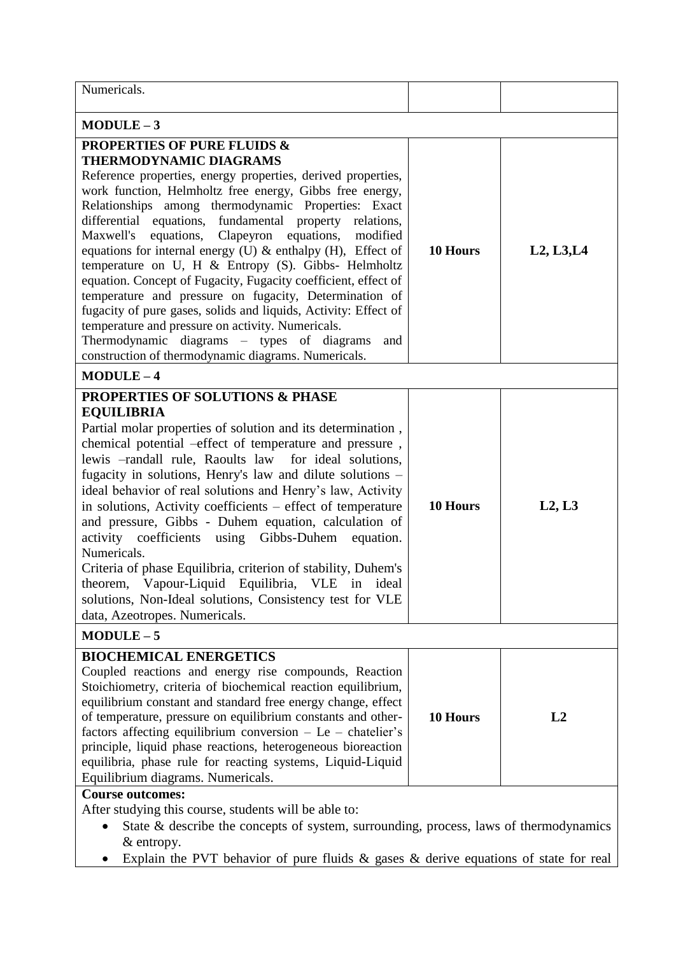| Numericals.                                                                                                                                                                                                                                                                                                                                                                                                                                                                                                                                                                                                                                                                                                                                                                                                                                                             |          |            |  |
|-------------------------------------------------------------------------------------------------------------------------------------------------------------------------------------------------------------------------------------------------------------------------------------------------------------------------------------------------------------------------------------------------------------------------------------------------------------------------------------------------------------------------------------------------------------------------------------------------------------------------------------------------------------------------------------------------------------------------------------------------------------------------------------------------------------------------------------------------------------------------|----------|------------|--|
| $MODULE-3$                                                                                                                                                                                                                                                                                                                                                                                                                                                                                                                                                                                                                                                                                                                                                                                                                                                              |          |            |  |
| <b>PROPERTIES OF PURE FLUIDS &amp;</b><br><b>THERMODYNAMIC DIAGRAMS</b><br>Reference properties, energy properties, derived properties,<br>work function, Helmholtz free energy, Gibbs free energy,<br>Relationships among thermodynamic Properties: Exact<br>differential equations, fundamental property relations,<br>Maxwell's<br>equations, Clapeyron equations,<br>modified<br>equations for internal energy (U) & enthalpy (H), Effect of<br>temperature on U, H & Entropy (S). Gibbs- Helmholtz<br>equation. Concept of Fugacity, Fugacity coefficient, effect of<br>temperature and pressure on fugacity, Determination of<br>fugacity of pure gases, solids and liquids, Activity: Effect of<br>temperature and pressure on activity. Numericals.<br>Thermodynamic diagrams – types of diagrams<br>and<br>construction of thermodynamic diagrams. Numericals. | 10 Hours | L2, L3, L4 |  |
| $MODULE-4$<br>PROPERTIES OF SOLUTIONS & PHASE<br><b>EQUILIBRIA</b><br>Partial molar properties of solution and its determination,<br>chemical potential -effect of temperature and pressure,<br>lewis -randall rule, Raoults law for ideal solutions,<br>fugacity in solutions, Henry's law and dilute solutions -<br>ideal behavior of real solutions and Henry's law, Activity<br>in solutions, Activity coefficients - effect of temperature<br>and pressure, Gibbs - Duhem equation, calculation of<br>activity coefficients using Gibbs-Duhem<br>equation.<br>Numericals.<br>Criteria of phase Equilibria, criterion of stability, Duhem's<br>theorem, Vapour-Liquid Equilibria, VLE in ideal<br>solutions, Non-Ideal solutions, Consistency test for VLE<br>data, Azeotropes. Numericals.<br>$MODULE-5$                                                           | 10 Hours | L2, L3     |  |
| <b>BIOCHEMICAL ENERGETICS</b><br>Coupled reactions and energy rise compounds, Reaction<br>Stoichiometry, criteria of biochemical reaction equilibrium,<br>equilibrium constant and standard free energy change, effect<br>of temperature, pressure on equilibrium constants and other-<br>factors affecting equilibrium conversion $-$ Le $-$ chatelier's<br>principle, liquid phase reactions, heterogeneous bioreaction<br>equilibria, phase rule for reacting systems, Liquid-Liquid<br>Equilibrium diagrams. Numericals.<br><b>Course outcomes:</b><br>After studying this course, students will be able to:<br>State & describe the concepts of system, surrounding, process, laws of thermodynamics                                                                                                                                                               | 10 Hours | L2         |  |
| & entropy.<br>Explain the PVT behavior of pure fluids $\&$ gases $\&$ derive equations of state for real                                                                                                                                                                                                                                                                                                                                                                                                                                                                                                                                                                                                                                                                                                                                                                |          |            |  |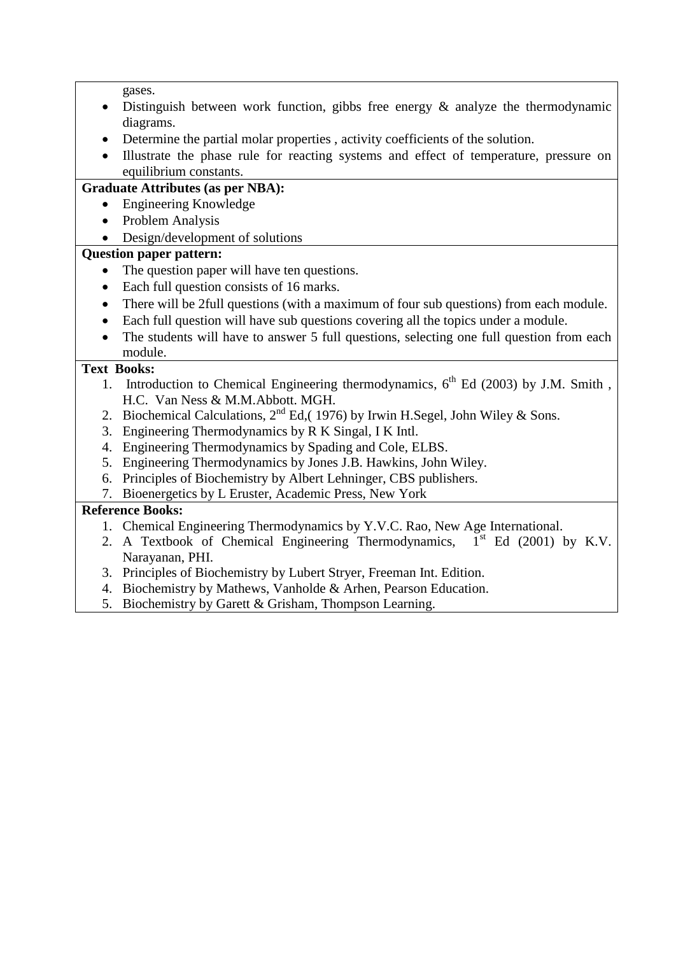gases.

- $\bullet$  Distinguish between work function, gibbs free energy  $\&$  analyze the thermodynamic diagrams.
- Determine the partial molar properties , activity coefficients of the solution.
- Illustrate the phase rule for reacting systems and effect of temperature, pressure on equilibrium constants.

# **Graduate Attributes (as per NBA):**

- Engineering Knowledge
- Problem Analysis
- Design/development of solutions

# **Question paper pattern:**

- The question paper will have ten questions.
- Each full question consists of 16 marks.
- There will be 2full questions (with a maximum of four sub questions) from each module.
- Each full question will have sub questions covering all the topics under a module.
- The students will have to answer 5 full questions, selecting one full question from each module.

# **Text Books:**

- 1. Introduction to Chemical Engineering thermodynamics,  $6<sup>th</sup>$  Ed (2003) by J.M. Smith, H.C. Van Ness & M.M.Abbott. MGH.
- 2. Biochemical Calculations,  $2^{nd}$  Ed.(1976) by Irwin H.Segel, John Wiley & Sons.
- 3. Engineering Thermodynamics by R K Singal, I K Intl.
- 4. Engineering Thermodynamics by Spading and Cole, ELBS.
- 5. Engineering Thermodynamics by Jones J.B. Hawkins, John Wiley.
- 6. Principles of Biochemistry by Albert Lehninger, CBS publishers.
- 7. Bioenergetics by L Eruster, Academic Press, New York

- 1. Chemical Engineering Thermodynamics by Y.V.C. Rao, New Age International.
- 2. A Textbook of Chemical Engineering Thermodynamics,  $1<sup>st</sup>$  Ed (2001) by K.V. Narayanan, PHI.
- 3. Principles of Biochemistry by Lubert Stryer, Freeman Int. Edition.
- 4. Biochemistry by Mathews, Vanholde & Arhen, Pearson Education.
- 5. Biochemistry by Garett & Grisham, Thompson Learning.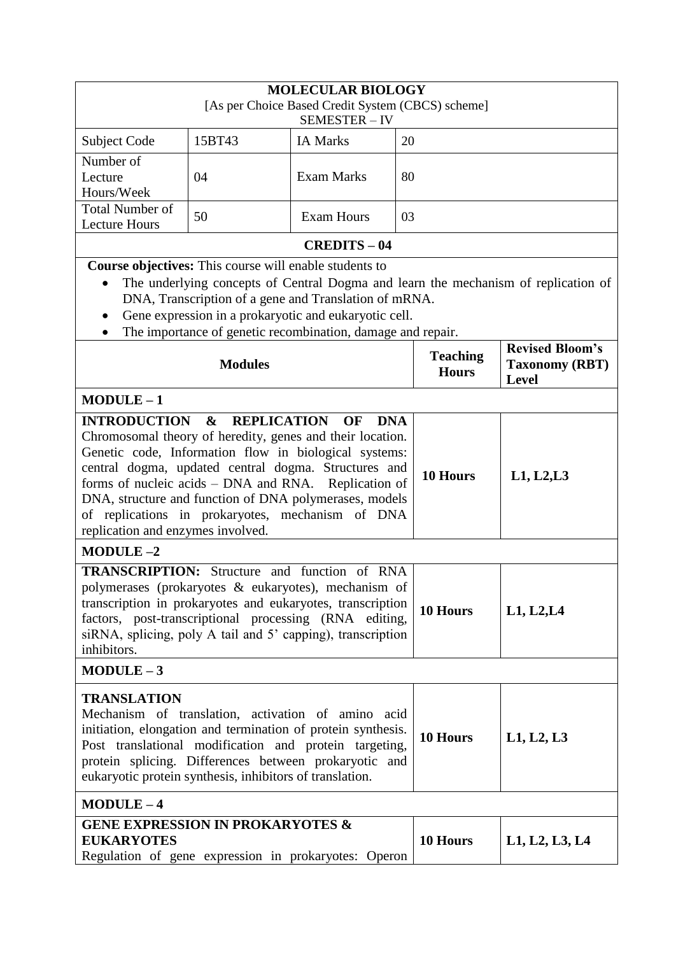| <b>MOLECULAR BIOLOGY</b><br>[As per Choice Based Credit System (CBCS) scheme]<br>SEMESTER-IV                                                                                                                                                                                                                                                                                                                                                                                           |                                                        |                                                                                                                                                                               |                                 |                                                                                    |
|----------------------------------------------------------------------------------------------------------------------------------------------------------------------------------------------------------------------------------------------------------------------------------------------------------------------------------------------------------------------------------------------------------------------------------------------------------------------------------------|--------------------------------------------------------|-------------------------------------------------------------------------------------------------------------------------------------------------------------------------------|---------------------------------|------------------------------------------------------------------------------------|
| Subject Code                                                                                                                                                                                                                                                                                                                                                                                                                                                                           | 15BT43                                                 | <b>IA Marks</b>                                                                                                                                                               | 20                              |                                                                                    |
| Number of<br>Lecture<br>Hours/Week                                                                                                                                                                                                                                                                                                                                                                                                                                                     | 04                                                     | <b>Exam Marks</b>                                                                                                                                                             | 80                              |                                                                                    |
| <b>Total Number of</b><br><b>Lecture Hours</b>                                                                                                                                                                                                                                                                                                                                                                                                                                         | 50                                                     | <b>Exam Hours</b>                                                                                                                                                             | 03                              |                                                                                    |
|                                                                                                                                                                                                                                                                                                                                                                                                                                                                                        |                                                        | <b>CREDITS - 04</b>                                                                                                                                                           |                                 |                                                                                    |
|                                                                                                                                                                                                                                                                                                                                                                                                                                                                                        | Course objectives: This course will enable students to | DNA, Transcription of a gene and Translation of mRNA.<br>Gene expression in a prokaryotic and eukaryotic cell.<br>The importance of genetic recombination, damage and repair. |                                 | The underlying concepts of Central Dogma and learn the mechanism of replication of |
|                                                                                                                                                                                                                                                                                                                                                                                                                                                                                        | <b>Modules</b>                                         |                                                                                                                                                                               | <b>Teaching</b><br><b>Hours</b> | <b>Revised Bloom's</b><br><b>Taxonomy (RBT)</b><br><b>Level</b>                    |
| $MODULE-1$                                                                                                                                                                                                                                                                                                                                                                                                                                                                             |                                                        |                                                                                                                                                                               |                                 |                                                                                    |
| $\boldsymbol{\alpha}$<br><b>REPLICATION</b><br><b>INTRODUCTION</b><br><b>OF</b><br><b>DNA</b><br>Chromosomal theory of heredity, genes and their location.<br>Genetic code, Information flow in biological systems:<br>central dogma, updated central dogma. Structures and<br>forms of nucleic acids - DNA and RNA. Replication of<br>DNA, structure and function of DNA polymerases, models<br>of replications in prokaryotes, mechanism of DNA<br>replication and enzymes involved. |                                                        |                                                                                                                                                                               | 10 Hours                        | L1, L2, L3                                                                         |
| $MODULE-2$                                                                                                                                                                                                                                                                                                                                                                                                                                                                             |                                                        |                                                                                                                                                                               |                                 |                                                                                    |
| <b>TRANSCRIPTION:</b> Structure and function of RNA<br>polymerases (prokaryotes & eukaryotes), mechanism of<br>transcription in prokaryotes and eukaryotes, transcription<br>factors, post-transcriptional processing (RNA editing,<br>siRNA, splicing, poly A tail and 5' capping), transcription<br>inhibitors.                                                                                                                                                                      |                                                        |                                                                                                                                                                               | 10 Hours                        | L1, L2, L4                                                                         |
| $MODULE-3$                                                                                                                                                                                                                                                                                                                                                                                                                                                                             |                                                        |                                                                                                                                                                               |                                 |                                                                                    |
| <b>TRANSLATION</b><br>Mechanism of translation, activation of amino acid<br>initiation, elongation and termination of protein synthesis.<br>Post translational modification and protein targeting,<br>protein splicing. Differences between prokaryotic and<br>eukaryotic protein synthesis, inhibitors of translation.                                                                                                                                                                |                                                        |                                                                                                                                                                               | 10 Hours                        | L1, L2, L3                                                                         |
| $MODULE-4$                                                                                                                                                                                                                                                                                                                                                                                                                                                                             |                                                        |                                                                                                                                                                               |                                 |                                                                                    |
| <b>GENE EXPRESSION IN PROKARYOTES &amp;</b><br><b>EUKARYOTES</b>                                                                                                                                                                                                                                                                                                                                                                                                                       |                                                        | Regulation of gene expression in prokaryotes: Operon                                                                                                                          | 10 Hours                        | L1, L2, L3, L4                                                                     |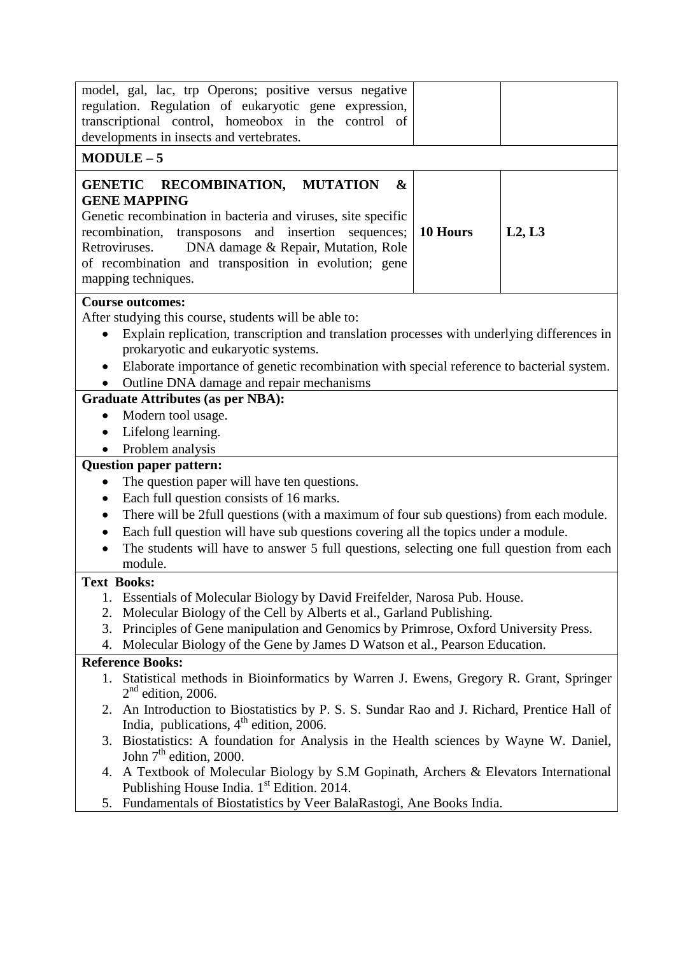|           | model, gal, lac, trp Operons; positive versus negative                                                                                             |          |        |  |  |
|-----------|----------------------------------------------------------------------------------------------------------------------------------------------------|----------|--------|--|--|
|           | regulation. Regulation of eukaryotic gene expression,                                                                                              |          |        |  |  |
|           | transcriptional control, homeobox in the control of                                                                                                |          |        |  |  |
|           | developments in insects and vertebrates.                                                                                                           |          |        |  |  |
|           | $MODULE-5$                                                                                                                                         |          |        |  |  |
|           | GENETIC RECOMBINATION, MUTATION<br>$\boldsymbol{\&}$<br><b>GENE MAPPING</b>                                                                        |          |        |  |  |
|           | Genetic recombination in bacteria and viruses, site specific                                                                                       |          |        |  |  |
|           | recombination,<br>transposons and insertion<br>sequences;                                                                                          | 10 Hours | L2, L3 |  |  |
|           | Retroviruses.<br>DNA damage & Repair, Mutation, Role                                                                                               |          |        |  |  |
|           | of recombination and transposition in evolution; gene                                                                                              |          |        |  |  |
|           | mapping techniques.                                                                                                                                |          |        |  |  |
|           | <b>Course outcomes:</b>                                                                                                                            |          |        |  |  |
|           | After studying this course, students will be able to:                                                                                              |          |        |  |  |
| $\bullet$ | Explain replication, transcription and translation processes with underlying differences in                                                        |          |        |  |  |
|           | prokaryotic and eukaryotic systems.                                                                                                                |          |        |  |  |
|           | Elaborate importance of genetic recombination with special reference to bacterial system.                                                          |          |        |  |  |
|           | Outline DNA damage and repair mechanisms                                                                                                           |          |        |  |  |
|           | <b>Graduate Attributes (as per NBA):</b>                                                                                                           |          |        |  |  |
| $\bullet$ | Modern tool usage.                                                                                                                                 |          |        |  |  |
| $\bullet$ | Lifelong learning.                                                                                                                                 |          |        |  |  |
| $\bullet$ | Problem analysis                                                                                                                                   |          |        |  |  |
|           | <b>Question paper pattern:</b>                                                                                                                     |          |        |  |  |
|           | The question paper will have ten questions.                                                                                                        |          |        |  |  |
| $\bullet$ | Each full question consists of 16 marks.                                                                                                           |          |        |  |  |
| $\bullet$ | There will be 2full questions (with a maximum of four sub questions) from each module.                                                             |          |        |  |  |
| $\bullet$ | Each full question will have sub questions covering all the topics under a module.                                                                 |          |        |  |  |
|           | The students will have to answer 5 full questions, selecting one full question from each                                                           |          |        |  |  |
|           | module.                                                                                                                                            |          |        |  |  |
|           | <b>Text Books:</b>                                                                                                                                 |          |        |  |  |
|           | 1. Essentials of Molecular Biology by David Freifelder, Narosa Pub. House.                                                                         |          |        |  |  |
| 2.        | Molecular Biology of the Cell by Alberts et al., Garland Publishing.                                                                               |          |        |  |  |
| 3.        | Principles of Gene manipulation and Genomics by Primrose, Oxford University Press.                                                                 |          |        |  |  |
| 4.        | Molecular Biology of the Gene by James D Watson et al., Pearson Education.                                                                         |          |        |  |  |
|           | <b>Reference Books:</b>                                                                                                                            |          |        |  |  |
|           | Statistical methods in Bioinformatics by Warren J. Ewens, Gregory R. Grant, Springer<br>$2nd$ edition, 2006.                                       |          |        |  |  |
|           | 2. An Introduction to Biostatistics by P. S. S. Sundar Rao and J. Richard, Prentice Hall of<br>India, publications, 4 <sup>th</sup> edition, 2006. |          |        |  |  |
|           | 3. Biostatistics: A foundation for Analysis in the Health sciences by Wayne W. Daniel,<br>John $7th$ edition, 2000.                                |          |        |  |  |
|           | 4. A Textbook of Molecular Biology by S.M Gopinath, Archers & Elevators International<br>Publishing House India. 1 <sup>st</sup> Edition. 2014.    |          |        |  |  |
| 5.        | Fundamentals of Biostatistics by Veer BalaRastogi, Ane Books India.                                                                                |          |        |  |  |
|           |                                                                                                                                                    |          |        |  |  |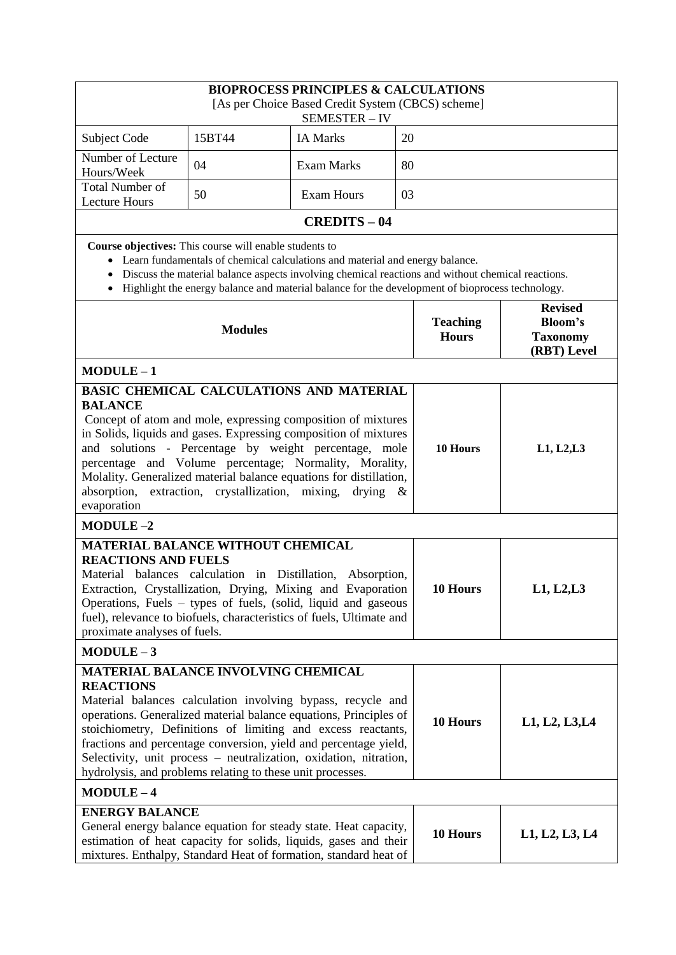|                                                                                                                                                                                                                                                                                                                                                                                                                                                                           |                                                                          | <b>BIOPROCESS PRINCIPLES &amp; CALCULATIONS</b><br>[As per Choice Based Credit System (CBCS) scheme]<br>SEMESTER-IV                                                                                                                                                                      |                                 |                                              |
|---------------------------------------------------------------------------------------------------------------------------------------------------------------------------------------------------------------------------------------------------------------------------------------------------------------------------------------------------------------------------------------------------------------------------------------------------------------------------|--------------------------------------------------------------------------|------------------------------------------------------------------------------------------------------------------------------------------------------------------------------------------------------------------------------------------------------------------------------------------|---------------------------------|----------------------------------------------|
| Subject Code                                                                                                                                                                                                                                                                                                                                                                                                                                                              | 15BT44                                                                   | <b>IA Marks</b>                                                                                                                                                                                                                                                                          | 20                              |                                              |
| Number of Lecture<br>Hours/Week                                                                                                                                                                                                                                                                                                                                                                                                                                           | 04                                                                       | <b>Exam Marks</b>                                                                                                                                                                                                                                                                        | 80                              |                                              |
| <b>Total Number of</b><br><b>Lecture Hours</b>                                                                                                                                                                                                                                                                                                                                                                                                                            | 50                                                                       | <b>Exam Hours</b>                                                                                                                                                                                                                                                                        | 03                              |                                              |
|                                                                                                                                                                                                                                                                                                                                                                                                                                                                           |                                                                          | <b>CREDITS-04</b>                                                                                                                                                                                                                                                                        |                                 |                                              |
|                                                                                                                                                                                                                                                                                                                                                                                                                                                                           | Course objectives: This course will enable students to<br><b>Modules</b> | • Learn fundamentals of chemical calculations and material and energy balance.<br>Discuss the material balance aspects involving chemical reactions and without chemical reactions.<br>• Highlight the energy balance and material balance for the development of bioprocess technology. | <b>Teaching</b><br><b>Hours</b> | <b>Revised</b><br>Bloom's<br><b>Taxonomy</b> |
|                                                                                                                                                                                                                                                                                                                                                                                                                                                                           |                                                                          |                                                                                                                                                                                                                                                                                          |                                 | (RBT) Level                                  |
| $MODULE-1$<br>BASIC CHEMICAL CALCULATIONS AND MATERIAL<br><b>BALANCE</b><br>in Solids, liquids and gases. Expressing composition of mixtures<br>and solutions - Percentage by weight percentage, mole<br>percentage and Volume percentage; Normality, Morality,<br>absorption, extraction, crystallization, mixing, drying &<br>evaporation<br>$MODULE-2$                                                                                                                 |                                                                          | Concept of atom and mole, expressing composition of mixtures<br>Molality. Generalized material balance equations for distillation,                                                                                                                                                       | 10 Hours                        | L1, L2, L3                                   |
| <b>MATERIAL BALANCE WITHOUT CHEMICAL</b><br><b>REACTIONS AND FUELS</b><br>Material balances calculation in Distillation, Absorption,<br>Extraction, Crystallization, Drying, Mixing and Evaporation<br>Operations, Fuels - types of fuels, (solid, liquid and gaseous<br>fuel), relevance to biofuels, characteristics of fuels, Ultimate and<br>proximate analyses of fuels.                                                                                             |                                                                          |                                                                                                                                                                                                                                                                                          | 10 Hours                        | L1, L2, L3                                   |
| $MODULE-3$                                                                                                                                                                                                                                                                                                                                                                                                                                                                |                                                                          |                                                                                                                                                                                                                                                                                          |                                 |                                              |
| <b>MATERIAL BALANCE INVOLVING CHEMICAL</b><br><b>REACTIONS</b><br>Material balances calculation involving bypass, recycle and<br>operations. Generalized material balance equations, Principles of<br>stoichiometry, Definitions of limiting and excess reactants,<br>fractions and percentage conversion, yield and percentage yield,<br>Selectivity, unit process - neutralization, oxidation, nitration,<br>hydrolysis, and problems relating to these unit processes. |                                                                          |                                                                                                                                                                                                                                                                                          | 10 Hours                        | L1, L2, L3, L4                               |
| $MODULE-4$                                                                                                                                                                                                                                                                                                                                                                                                                                                                |                                                                          |                                                                                                                                                                                                                                                                                          |                                 |                                              |
| <b>ENERGY BALANCE</b><br>General energy balance equation for steady state. Heat capacity,<br>estimation of heat capacity for solids, liquids, gases and their<br>mixtures. Enthalpy, Standard Heat of formation, standard heat of                                                                                                                                                                                                                                         |                                                                          |                                                                                                                                                                                                                                                                                          | 10 Hours                        | L1, L2, L3, L4                               |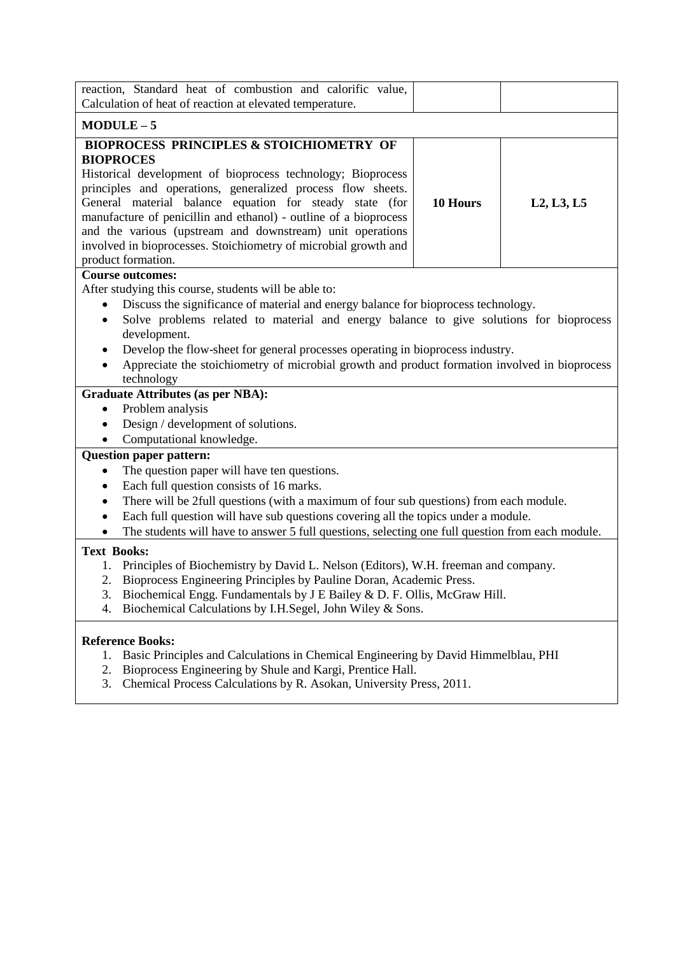| reaction, Standard heat of combustion and calorific value,                                                                                                                                                                                                                                                                         |          |            |  |  |
|------------------------------------------------------------------------------------------------------------------------------------------------------------------------------------------------------------------------------------------------------------------------------------------------------------------------------------|----------|------------|--|--|
| Calculation of heat of reaction at elevated temperature.                                                                                                                                                                                                                                                                           |          |            |  |  |
| $MODULE-5$                                                                                                                                                                                                                                                                                                                         |          |            |  |  |
| <b>BIOPROCESS PRINCIPLES &amp; STOICHIOMETRY OF</b>                                                                                                                                                                                                                                                                                |          |            |  |  |
| <b>BIOPROCES</b>                                                                                                                                                                                                                                                                                                                   |          |            |  |  |
| Historical development of bioprocess technology; Bioprocess                                                                                                                                                                                                                                                                        |          |            |  |  |
| principles and operations, generalized process flow sheets.                                                                                                                                                                                                                                                                        |          |            |  |  |
| General material balance equation for steady state (for<br>manufacture of penicillin and ethanol) - outline of a bioprocess                                                                                                                                                                                                        | 10 Hours | L2, L3, L5 |  |  |
| and the various (upstream and downstream) unit operations                                                                                                                                                                                                                                                                          |          |            |  |  |
| involved in bioprocesses. Stoichiometry of microbial growth and                                                                                                                                                                                                                                                                    |          |            |  |  |
| product formation.                                                                                                                                                                                                                                                                                                                 |          |            |  |  |
| <b>Course outcomes:</b>                                                                                                                                                                                                                                                                                                            |          |            |  |  |
| After studying this course, students will be able to:                                                                                                                                                                                                                                                                              |          |            |  |  |
| Discuss the significance of material and energy balance for bioprocess technology.                                                                                                                                                                                                                                                 |          |            |  |  |
| Solve problems related to material and energy balance to give solutions for bioprocess<br>$\bullet$                                                                                                                                                                                                                                |          |            |  |  |
| development.                                                                                                                                                                                                                                                                                                                       |          |            |  |  |
| Develop the flow-sheet for general processes operating in bioprocess industry.<br>$\bullet$                                                                                                                                                                                                                                        |          |            |  |  |
| Appreciate the stoichiometry of microbial growth and product formation involved in bioprocess<br>$\bullet$                                                                                                                                                                                                                         |          |            |  |  |
| technology                                                                                                                                                                                                                                                                                                                         |          |            |  |  |
| <b>Graduate Attributes (as per NBA):</b>                                                                                                                                                                                                                                                                                           |          |            |  |  |
| Problem analysis<br>$\bullet$<br>Design / development of solutions.<br>$\bullet$                                                                                                                                                                                                                                                   |          |            |  |  |
| Computational knowledge.<br>$\bullet$                                                                                                                                                                                                                                                                                              |          |            |  |  |
| <b>Question paper pattern:</b>                                                                                                                                                                                                                                                                                                     |          |            |  |  |
| The question paper will have ten questions.<br>$\bullet$                                                                                                                                                                                                                                                                           |          |            |  |  |
| Each full question consists of 16 marks.<br>$\bullet$                                                                                                                                                                                                                                                                              |          |            |  |  |
| There will be 2full questions (with a maximum of four sub questions) from each module.<br>$\bullet$                                                                                                                                                                                                                                |          |            |  |  |
| Each full question will have sub questions covering all the topics under a module.<br>$\bullet$                                                                                                                                                                                                                                    |          |            |  |  |
| The students will have to answer 5 full questions, selecting one full question from each module.<br>$\bullet$                                                                                                                                                                                                                      |          |            |  |  |
| <b>Text Books:</b>                                                                                                                                                                                                                                                                                                                 |          |            |  |  |
| Principles of Biochemistry by David L. Nelson (Editors), W.H. freeman and company.<br>1.                                                                                                                                                                                                                                           |          |            |  |  |
| Bioprocess Engineering Principles by Pauline Doran, Academic Press.<br>2.                                                                                                                                                                                                                                                          |          |            |  |  |
| Biochemical Engg. Fundamentals by J E Bailey & D. F. Ollis, McGraw Hill.<br>3.                                                                                                                                                                                                                                                     |          |            |  |  |
| Biochemical Calculations by I.H.Segel, John Wiley & Sons.<br>4.                                                                                                                                                                                                                                                                    |          |            |  |  |
| <b>Reference Books:</b>                                                                                                                                                                                                                                                                                                            |          |            |  |  |
| 1. Basic Principles and Calculations in Chemical Engineering by David Himmelblau, PHI                                                                                                                                                                                                                                              |          |            |  |  |
| $\mathbf{r}$ $\mathbf{r}$ $\mathbf{r}$ $\mathbf{r}$ $\mathbf{r}$ $\mathbf{r}$ $\mathbf{r}$ $\mathbf{r}$ $\mathbf{r}$ $\mathbf{r}$ $\mathbf{r}$ $\mathbf{r}$ $\mathbf{r}$ $\mathbf{r}$ $\mathbf{r}$ $\mathbf{r}$ $\mathbf{r}$ $\mathbf{r}$ $\mathbf{r}$ $\mathbf{r}$ $\mathbf{r}$ $\mathbf{r}$ $\mathbf{r}$ $\mathbf{r}$ $\mathbf{$ |          |            |  |  |

- 2. Bioprocess Engineering by Shule and Kargi, Prentice Hall.
- 3. Chemical Process Calculations by R. Asokan, University Press, 2011.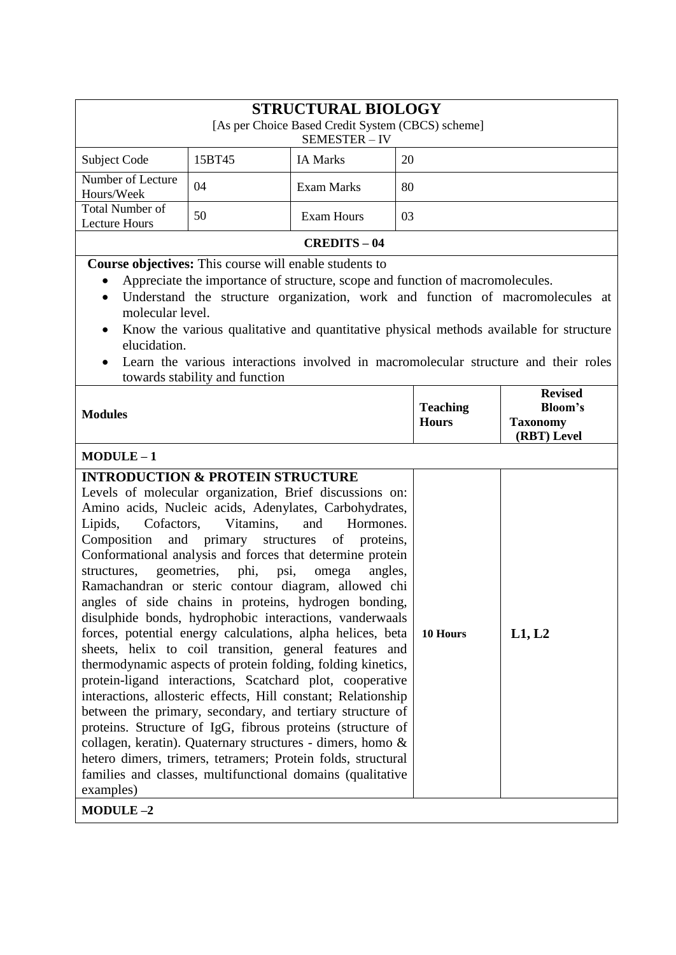| <b>STRUCTURAL BIOLOGY</b><br>[As per Choice Based Credit System (CBCS) scheme]                                                                                                                                                                                                                                                                                                                                                                                                                                                                                                                                                                                                                                                                                                                                                                                                                                                                                                                                                                                                                                                     |                                                                 |                                                      |    |                                 |                                                                    |
|------------------------------------------------------------------------------------------------------------------------------------------------------------------------------------------------------------------------------------------------------------------------------------------------------------------------------------------------------------------------------------------------------------------------------------------------------------------------------------------------------------------------------------------------------------------------------------------------------------------------------------------------------------------------------------------------------------------------------------------------------------------------------------------------------------------------------------------------------------------------------------------------------------------------------------------------------------------------------------------------------------------------------------------------------------------------------------------------------------------------------------|-----------------------------------------------------------------|------------------------------------------------------|----|---------------------------------|--------------------------------------------------------------------|
|                                                                                                                                                                                                                                                                                                                                                                                                                                                                                                                                                                                                                                                                                                                                                                                                                                                                                                                                                                                                                                                                                                                                    | 15BT45                                                          | SEMESTER-IV<br><b>IA Marks</b>                       | 20 |                                 |                                                                    |
| Subject Code<br>Number of Lecture                                                                                                                                                                                                                                                                                                                                                                                                                                                                                                                                                                                                                                                                                                                                                                                                                                                                                                                                                                                                                                                                                                  |                                                                 |                                                      |    |                                 |                                                                    |
| Hours/Week                                                                                                                                                                                                                                                                                                                                                                                                                                                                                                                                                                                                                                                                                                                                                                                                                                                                                                                                                                                                                                                                                                                         | 04                                                              | <b>Exam Marks</b>                                    | 80 |                                 |                                                                    |
| <b>Total Number of</b><br><b>Lecture Hours</b>                                                                                                                                                                                                                                                                                                                                                                                                                                                                                                                                                                                                                                                                                                                                                                                                                                                                                                                                                                                                                                                                                     | 50                                                              | <b>Exam Hours</b>                                    | 03 |                                 |                                                                    |
|                                                                                                                                                                                                                                                                                                                                                                                                                                                                                                                                                                                                                                                                                                                                                                                                                                                                                                                                                                                                                                                                                                                                    |                                                                 | <b>CREDITS-04</b>                                    |    |                                 |                                                                    |
| <b>Course objectives:</b> This course will enable students to<br>Appreciate the importance of structure, scope and function of macromolecules.<br>Understand the structure organization, work and function of macromolecules at<br>$\bullet$<br>molecular level.<br>Know the various qualitative and quantitative physical methods available for structure<br>elucidation.<br>Learn the various interactions involved in macromolecular structure and their roles                                                                                                                                                                                                                                                                                                                                                                                                                                                                                                                                                                                                                                                                  |                                                                 |                                                      |    |                                 |                                                                    |
| <b>Modules</b>                                                                                                                                                                                                                                                                                                                                                                                                                                                                                                                                                                                                                                                                                                                                                                                                                                                                                                                                                                                                                                                                                                                     | towards stability and function                                  |                                                      |    | <b>Teaching</b><br><b>Hours</b> | <b>Revised</b><br><b>Bloom's</b><br><b>Taxonomy</b><br>(RBT) Level |
| $MODULE-1$                                                                                                                                                                                                                                                                                                                                                                                                                                                                                                                                                                                                                                                                                                                                                                                                                                                                                                                                                                                                                                                                                                                         |                                                                 |                                                      |    |                                 |                                                                    |
| <b>INTRODUCTION &amp; PROTEIN STRUCTURE</b><br>Levels of molecular organization, Brief discussions on:<br>Amino acids, Nucleic acids, Adenylates, Carbohydrates,<br>Cofactors,<br>Lipids,<br>Composition<br>Conformational analysis and forces that determine protein<br>structures,<br>Ramachandran or steric contour diagram, allowed chi<br>angles of side chains in proteins, hydrogen bonding,<br>disulphide bonds, hydrophobic interactions, vanderwaals<br>forces, potential energy calculations, alpha helices, beta<br>sheets, helix to coil transition, general features and<br>thermodynamic aspects of protein folding, folding kinetics,<br>protein-ligand interactions, Scatchard plot, cooperative<br>interactions, allosteric effects, Hill constant; Relationship<br>between the primary, secondary, and tertiary structure of<br>proteins. Structure of IgG, fibrous proteins (structure of<br>collagen, keratin). Quaternary structures - dimers, homo &<br>hetero dimers, trimers, tetramers; Protein folds, structural<br>families and classes, multifunctional domains (qualitative<br>examples)<br>MODULE-2 | Vitamins,<br>and primary structures<br>geometries, phi,<br>psi, | Hormones.<br>and<br>of proteins,<br>omega<br>angles, |    | 10 Hours                        | L1, L2                                                             |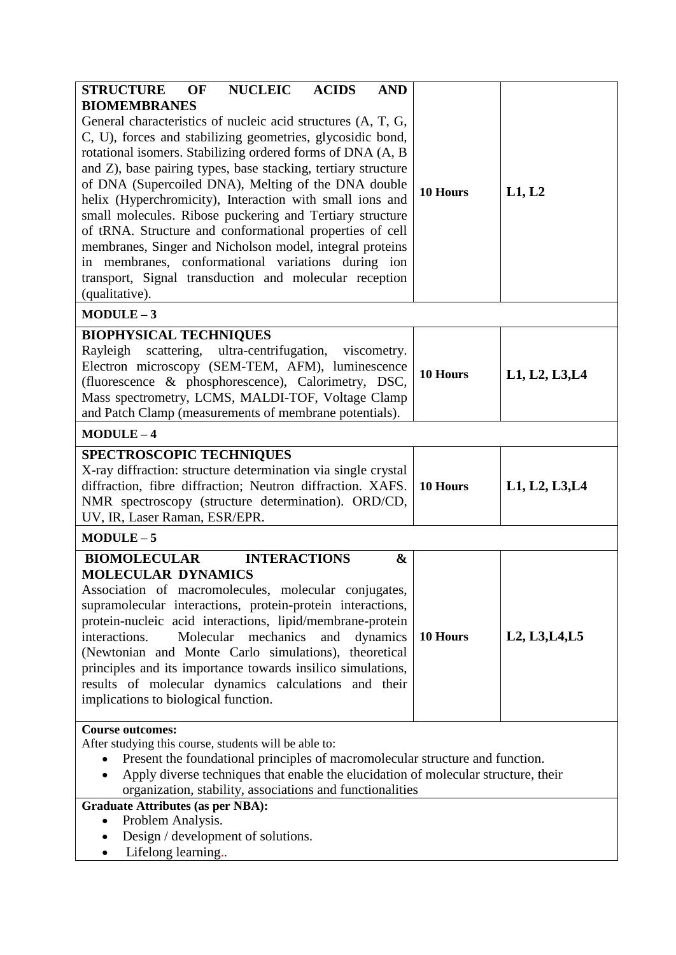| <b>STRUCTURE</b><br><b>NUCLEIC</b><br><b>OF</b><br><b>ACIDS</b><br><b>AND</b>                                                                                                                                                                                                                                                                                                                                                                                                                                                                                                                                                                                                                                             |          |                                                                   |  |  |
|---------------------------------------------------------------------------------------------------------------------------------------------------------------------------------------------------------------------------------------------------------------------------------------------------------------------------------------------------------------------------------------------------------------------------------------------------------------------------------------------------------------------------------------------------------------------------------------------------------------------------------------------------------------------------------------------------------------------------|----------|-------------------------------------------------------------------|--|--|
| <b>BIOMEMBRANES</b><br>General characteristics of nucleic acid structures (A, T, G,<br>C, U), forces and stabilizing geometries, glycosidic bond,<br>rotational isomers. Stabilizing ordered forms of DNA (A, B<br>and Z), base pairing types, base stacking, tertiary structure<br>of DNA (Supercoiled DNA), Melting of the DNA double<br>helix (Hyperchromicity), Interaction with small ions and<br>small molecules. Ribose puckering and Tertiary structure<br>of tRNA. Structure and conformational properties of cell<br>membranes, Singer and Nicholson model, integral proteins<br>in membranes, conformational variations during ion<br>transport, Signal transduction and molecular reception<br>(qualitative). | 10 Hours | L1, L2                                                            |  |  |
| $MODULE-3$                                                                                                                                                                                                                                                                                                                                                                                                                                                                                                                                                                                                                                                                                                                |          |                                                                   |  |  |
| <b>BIOPHYSICAL TECHNIQUES</b><br>Rayleigh scattering, ultra-centrifugation, viscometry.<br>Electron microscopy (SEM-TEM, AFM), luminescence<br>(fluorescence & phosphorescence), Calorimetry, DSC,<br>Mass spectrometry, LCMS, MALDI-TOF, Voltage Clamp<br>and Patch Clamp (measurements of membrane potentials).                                                                                                                                                                                                                                                                                                                                                                                                         | 10 Hours | L1, L2, L3, L4                                                    |  |  |
| $MODULE-4$                                                                                                                                                                                                                                                                                                                                                                                                                                                                                                                                                                                                                                                                                                                |          |                                                                   |  |  |
| <b>SPECTROSCOPIC TECHNIQUES</b><br>X-ray diffraction: structure determination via single crystal<br>diffraction, fibre diffraction; Neutron diffraction. XAFS.<br>NMR spectroscopy (structure determination). ORD/CD,<br>UV, IR, Laser Raman, ESR/EPR.                                                                                                                                                                                                                                                                                                                                                                                                                                                                    | 10 Hours | L1, L2, L3, L4                                                    |  |  |
| $MODULE-5$                                                                                                                                                                                                                                                                                                                                                                                                                                                                                                                                                                                                                                                                                                                |          |                                                                   |  |  |
| <b>INTERACTIONS</b><br><b>BIOMOLECULAR</b><br>&<br><b>MOLECULAR DYNAMICS</b><br>Association of macromolecules, molecular conjugates,<br>supramolecular interactions, protein-protein interactions,<br>protein-nucleic acid interactions, lipid/membrane-protein<br>interactions.<br>Molecular<br>mechanics<br>and<br>dynamics<br>(Newtonian and Monte Carlo simulations), theoretical<br>principles and its importance towards insilico simulations,<br>results of molecular dynamics calculations and their<br>implications to biological function.                                                                                                                                                                      | 10 Hours | L <sub>2</sub> , L <sub>3</sub> , L <sub>4</sub> , L <sub>5</sub> |  |  |
| <b>Course outcomes:</b><br>After studying this course, students will be able to:<br>Present the foundational principles of macromolecular structure and function.<br>Apply diverse techniques that enable the elucidation of molecular structure, their<br>organization, stability, associations and functionalities                                                                                                                                                                                                                                                                                                                                                                                                      |          |                                                                   |  |  |
| <b>Graduate Attributes (as per NBA):</b><br>Problem Analysis.<br>$\bullet$<br>Design / development of solutions.<br>Lifelong learning<br>$\bullet$                                                                                                                                                                                                                                                                                                                                                                                                                                                                                                                                                                        |          |                                                                   |  |  |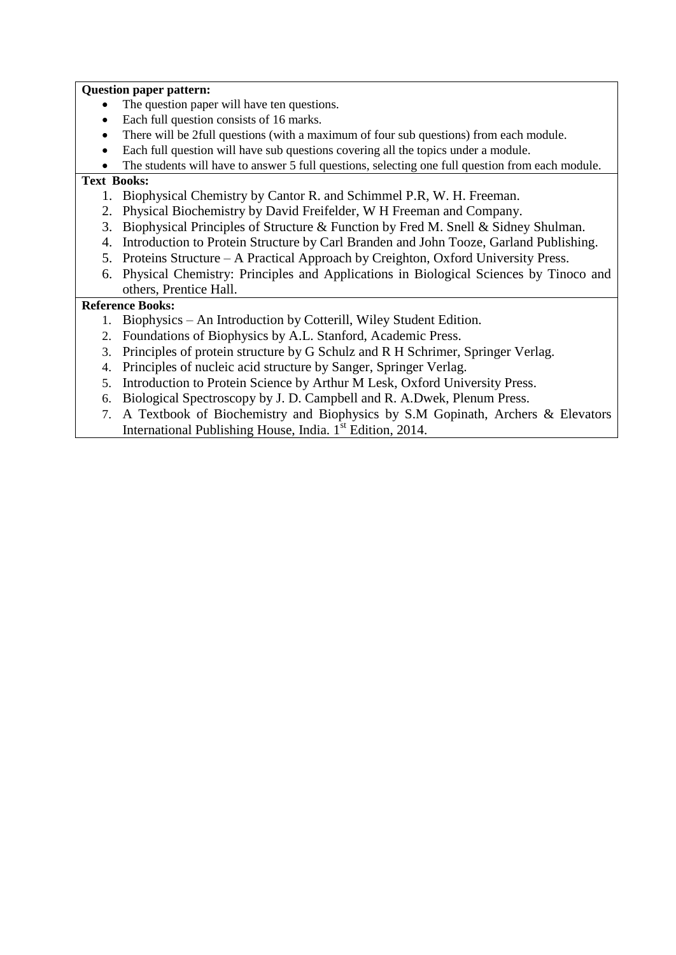#### **Question paper pattern:**

- The question paper will have ten questions.
- Each full question consists of 16 marks.
- There will be 2full questions (with a maximum of four sub questions) from each module.
- Each full question will have sub questions covering all the topics under a module.
- The students will have to answer 5 full questions, selecting one full question from each module.

### **Text Books:**

- 1. Biophysical Chemistry by Cantor R. and Schimmel P.R, W. H. Freeman.
- 2. Physical Biochemistry by David Freifelder, W H Freeman and Company.
- 3. Biophysical Principles of Structure & Function by Fred M. Snell & Sidney Shulman.
- 4. Introduction to Protein Structure by Carl Branden and John Tooze, Garland Publishing.
- 5. Proteins Structure A Practical Approach by Creighton, Oxford University Press.
- 6. Physical Chemistry: Principles and Applications in Biological Sciences by Tinoco and others, Prentice Hall.

- 1. Biophysics An Introduction by Cotterill, Wiley Student Edition.
- 2. Foundations of Biophysics by A.L. Stanford, Academic Press.
- 3. Principles of protein structure by G Schulz and R H Schrimer, Springer Verlag.
- 4. Principles of nucleic acid structure by Sanger, Springer Verlag.
- 5. Introduction to Protein Science by Arthur M Lesk, Oxford University Press.
- 6. Biological Spectroscopy by J. D. Campbell and R. A.Dwek, Plenum Press.
- 7. A Textbook of Biochemistry and Biophysics by S.M Gopinath, Archers & Elevators International Publishing House, India.  $1<sup>st</sup>$  Edition, 2014.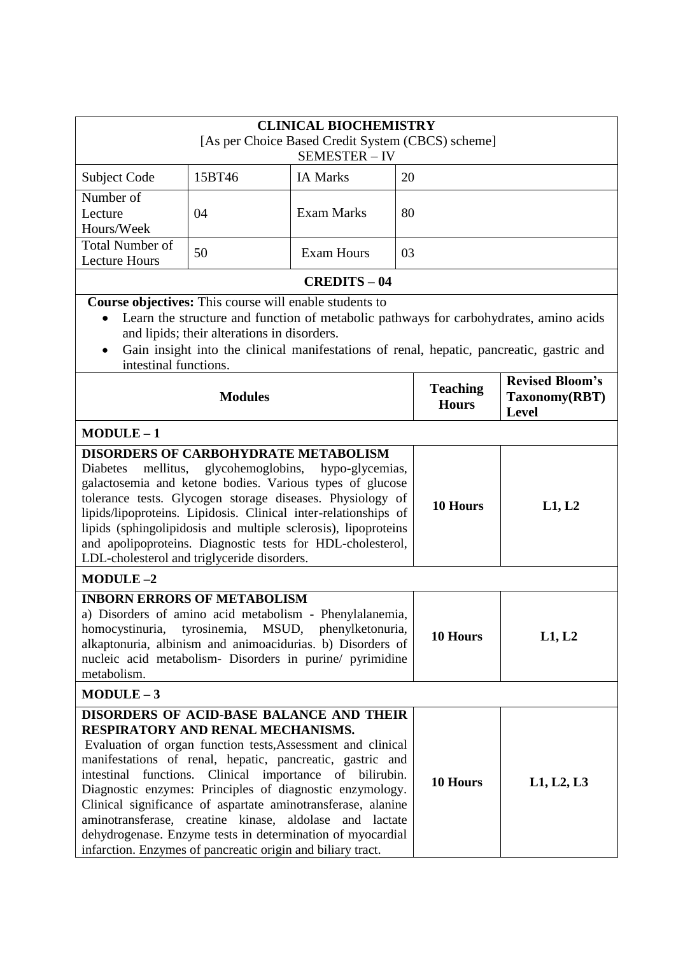| <b>CLINICAL BIOCHEMISTRY</b><br>[As per Choice Based Credit System (CBCS) scheme]<br>SEMESTER-IV                                                                                                                                                                                                       |                                                                                                              |                                                                                                                                                                                                                                                                                                                                                                                                                                          |    |                                 |                                                                                                                                                                                   |
|--------------------------------------------------------------------------------------------------------------------------------------------------------------------------------------------------------------------------------------------------------------------------------------------------------|--------------------------------------------------------------------------------------------------------------|------------------------------------------------------------------------------------------------------------------------------------------------------------------------------------------------------------------------------------------------------------------------------------------------------------------------------------------------------------------------------------------------------------------------------------------|----|---------------------------------|-----------------------------------------------------------------------------------------------------------------------------------------------------------------------------------|
| Subject Code                                                                                                                                                                                                                                                                                           | 15BT46                                                                                                       | <b>IA Marks</b>                                                                                                                                                                                                                                                                                                                                                                                                                          | 20 |                                 |                                                                                                                                                                                   |
| Number of<br>Lecture<br>Hours/Week                                                                                                                                                                                                                                                                     | 04                                                                                                           | <b>Exam Marks</b>                                                                                                                                                                                                                                                                                                                                                                                                                        | 80 |                                 |                                                                                                                                                                                   |
| <b>Total Number of</b><br><b>Lecture Hours</b>                                                                                                                                                                                                                                                         | 50                                                                                                           | <b>Exam Hours</b>                                                                                                                                                                                                                                                                                                                                                                                                                        | 03 |                                 |                                                                                                                                                                                   |
|                                                                                                                                                                                                                                                                                                        |                                                                                                              | <b>CREDITS - 04</b>                                                                                                                                                                                                                                                                                                                                                                                                                      |    |                                 |                                                                                                                                                                                   |
| $\bullet$<br>intestinal functions.                                                                                                                                                                                                                                                                     | <b>Course objectives:</b> This course will enable students to<br>and lipids; their alterations in disorders. |                                                                                                                                                                                                                                                                                                                                                                                                                                          |    |                                 | Learn the structure and function of metabolic pathways for carbohydrates, amino acids<br>Gain insight into the clinical manifestations of renal, hepatic, pancreatic, gastric and |
|                                                                                                                                                                                                                                                                                                        | <b>Modules</b>                                                                                               |                                                                                                                                                                                                                                                                                                                                                                                                                                          |    | <b>Teaching</b><br><b>Hours</b> | <b>Revised Bloom's</b><br>Taxonomy(RBT)<br>Level                                                                                                                                  |
| $MODULE-1$                                                                                                                                                                                                                                                                                             |                                                                                                              |                                                                                                                                                                                                                                                                                                                                                                                                                                          |    |                                 |                                                                                                                                                                                   |
| <b>DISORDERS OF CARBOHYDRATE METABOLISM</b><br>Diabetes<br>LDL-cholesterol and triglyceride disorders.                                                                                                                                                                                                 |                                                                                                              | mellitus, glycohemoglobins, hypo-glycemias,<br>galactosemia and ketone bodies. Various types of glucose<br>tolerance tests. Glycogen storage diseases. Physiology of<br>lipids/lipoproteins. Lipidosis. Clinical inter-relationships of<br>lipids (sphingolipidosis and multiple sclerosis), lipoproteins<br>and apolipoproteins. Diagnostic tests for HDL-cholesterol,                                                                  |    | 10 Hours                        | L1, L2                                                                                                                                                                            |
| $MODULE-2$                                                                                                                                                                                                                                                                                             |                                                                                                              |                                                                                                                                                                                                                                                                                                                                                                                                                                          |    |                                 |                                                                                                                                                                                   |
| <b>INBORN ERRORS OF METABOLISM</b><br>a) Disorders of amino acid metabolism - Phenylalanemia,<br>tyrosinemia,<br>MSUD,<br>homocystinuria,<br>phenylketonuria,<br>alkaptonuria, albinism and animoacidurias. b) Disorders of<br>nucleic acid metabolism- Disorders in purine/ pyrimidine<br>metabolism. |                                                                                                              |                                                                                                                                                                                                                                                                                                                                                                                                                                          |    | 10 Hours                        | L1, L2                                                                                                                                                                            |
| $MODULE-3$                                                                                                                                                                                                                                                                                             |                                                                                                              |                                                                                                                                                                                                                                                                                                                                                                                                                                          |    |                                 |                                                                                                                                                                                   |
| RESPIRATORY AND RENAL MECHANISMS.<br>aminotransferase, creatine kinase, aldolase<br>infarction. Enzymes of pancreatic origin and biliary tract.                                                                                                                                                        |                                                                                                              | DISORDERS OF ACID-BASE BALANCE AND THEIR<br>Evaluation of organ function tests, Assessment and clinical<br>manifestations of renal, hepatic, pancreatic, gastric and<br>intestinal functions. Clinical importance of bilirubin.<br>Diagnostic enzymes: Principles of diagnostic enzymology.<br>Clinical significance of aspartate aminotransferase, alanine<br>and lactate<br>dehydrogenase. Enzyme tests in determination of myocardial |    | 10 Hours                        | L1, L2, L3                                                                                                                                                                        |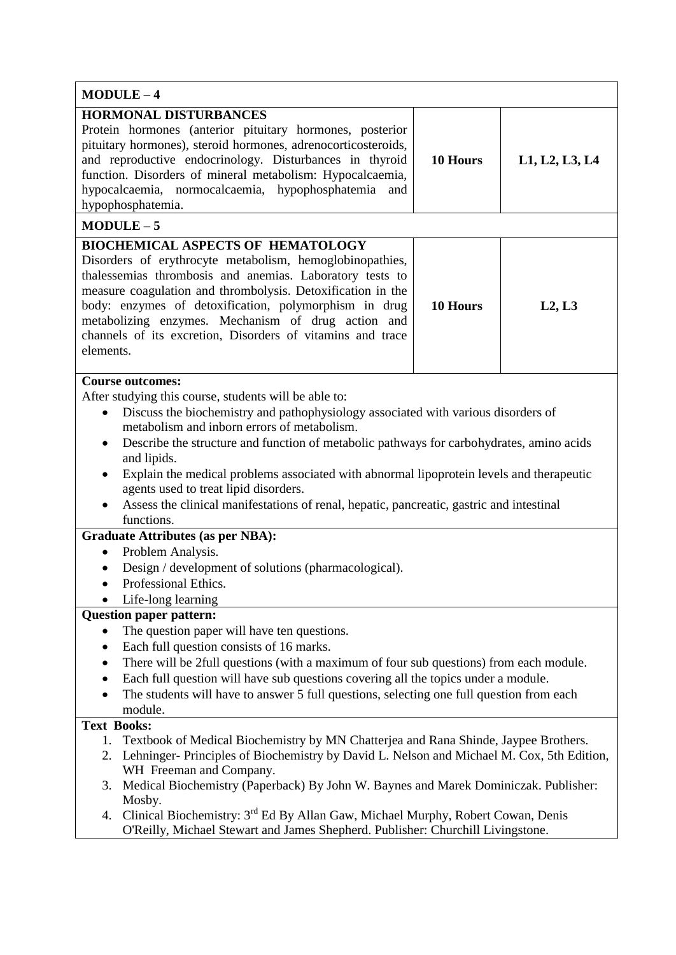| $MODULE-4$                                                                                                                                                                                                                                                                                                                                                                                                                                                                                                                                                                                                                                                                                                                                                                                        |          |                |  |  |
|---------------------------------------------------------------------------------------------------------------------------------------------------------------------------------------------------------------------------------------------------------------------------------------------------------------------------------------------------------------------------------------------------------------------------------------------------------------------------------------------------------------------------------------------------------------------------------------------------------------------------------------------------------------------------------------------------------------------------------------------------------------------------------------------------|----------|----------------|--|--|
| <b>HORMONAL DISTURBANCES</b><br>Protein hormones (anterior pituitary hormones, posterior<br>pituitary hormones), steroid hormones, adrenocorticosteroids,<br>and reproductive endocrinology. Disturbances in thyroid<br>function. Disorders of mineral metabolism: Hypocalcaemia,<br>hypocalcaemia, normocalcaemia, hypophosphatemia<br>and<br>hypophosphatemia.                                                                                                                                                                                                                                                                                                                                                                                                                                  | 10 Hours | L1, L2, L3, L4 |  |  |
| $MODULE-5$                                                                                                                                                                                                                                                                                                                                                                                                                                                                                                                                                                                                                                                                                                                                                                                        |          |                |  |  |
| <b>BIOCHEMICAL ASPECTS OF HEMATOLOGY</b><br>Disorders of erythrocyte metabolism, hemoglobinopathies,<br>thalessemias thrombosis and anemias. Laboratory tests to<br>measure coagulation and thrombolysis. Detoxification in the<br>body: enzymes of detoxification, polymorphism in drug<br>metabolizing enzymes. Mechanism of drug action and<br>channels of its excretion, Disorders of vitamins and trace<br>elements.                                                                                                                                                                                                                                                                                                                                                                         | 10 Hours | L2, L3         |  |  |
| <b>Course outcomes:</b><br>After studying this course, students will be able to:<br>Discuss the biochemistry and pathophysiology associated with various disorders of<br>$\bullet$<br>metabolism and inborn errors of metabolism.<br>Describe the structure and function of metabolic pathways for carbohydrates, amino acids<br>$\bullet$<br>and lipids.<br>Explain the medical problems associated with abnormal lipoprotein levels and therapeutic<br>agents used to treat lipid disorders.<br>Assess the clinical manifestations of renal, hepatic, pancreatic, gastric and intestinal<br>functions.<br><b>Graduate Attributes (as per NBA):</b><br>Problem Analysis.<br>$\bullet$<br>Design / development of solutions (pharmacological).<br>Professional Ethics.<br>Life-long learning      |          |                |  |  |
| <b>Question paper pattern:</b><br>The question paper will have ten questions.<br>$\bullet$<br>Each full question consists of 16 marks.<br>$\bullet$<br>There will be 2full questions (with a maximum of four sub questions) from each module.<br>Each full question will have sub questions covering all the topics under a module.<br>$\bullet$<br>The students will have to answer 5 full questions, selecting one full question from each<br>module.<br><b>Text Books:</b><br>Textbook of Medical Biochemistry by MN Chatterjea and Rana Shinde, Jaypee Brothers.<br>1.<br>2. Lehninger-Principles of Biochemistry by David L. Nelson and Michael M. Cox, 5th Edition,<br>WH Freeman and Company.<br>Medical Biochemistry (Paperback) By John W. Baynes and Marek Dominiczak. Publisher:<br>3. |          |                |  |  |
| Mosby.<br>Clinical Biochemistry: 3 <sup>rd</sup> Ed By Allan Gaw, Michael Murphy, Robert Cowan, Denis<br>4.<br>O'Reilly, Michael Stewart and James Shepherd. Publisher: Churchill Livingstone.                                                                                                                                                                                                                                                                                                                                                                                                                                                                                                                                                                                                    |          |                |  |  |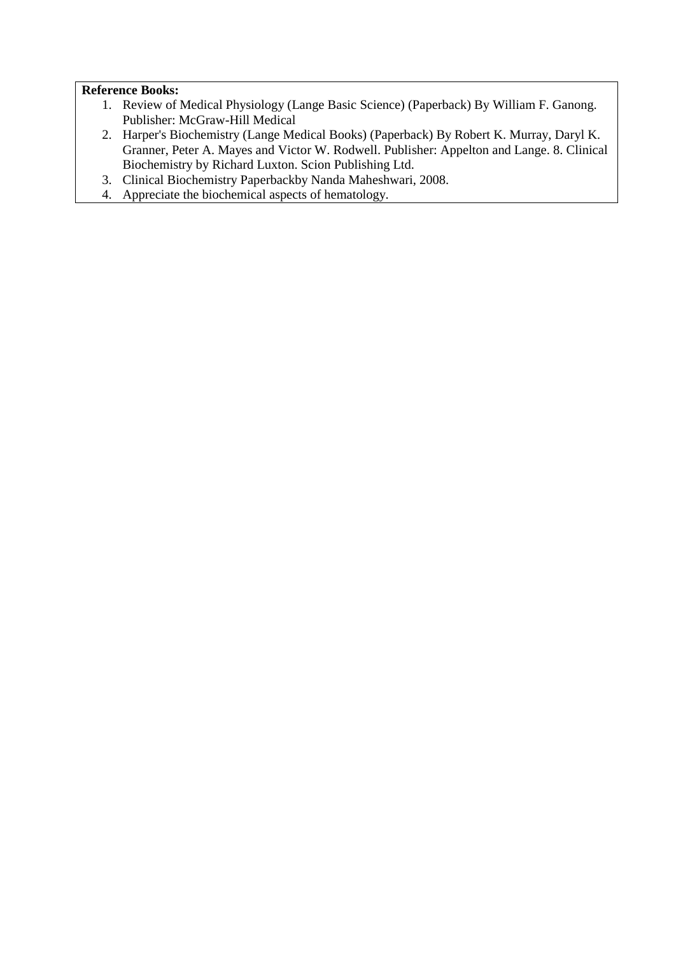- 1. Review of Medical Physiology (Lange Basic Science) (Paperback) By William F. Ganong. Publisher: McGraw-Hill Medical
- 2. Harper's Biochemistry (Lange Medical Books) (Paperback) By Robert K. Murray, Daryl K. Granner, Peter A. Mayes and Victor W. Rodwell. Publisher: Appelton and Lange. 8. Clinical Biochemistry by Richard Luxton. Scion Publishing Ltd.
- 3. Clinical Biochemistry Paperbackby Nanda Maheshwari, 2008.
- 4. Appreciate the biochemical aspects of hematology.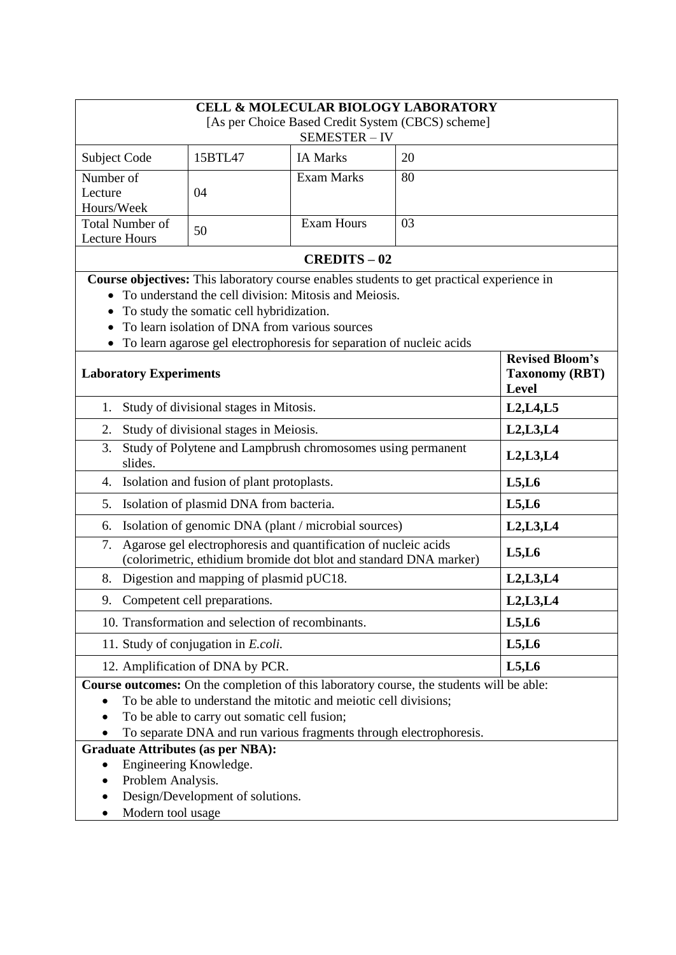| <b>CELL &amp; MOLECULAR BIOLOGY LABORATORY</b>                                                                                             |                                                          |                   |    |  |  |  |  |
|--------------------------------------------------------------------------------------------------------------------------------------------|----------------------------------------------------------|-------------------|----|--|--|--|--|
| [As per Choice Based Credit System (CBCS) scheme]                                                                                          |                                                          |                   |    |  |  |  |  |
|                                                                                                                                            |                                                          | SEMESTER-IV       |    |  |  |  |  |
| Subject Code                                                                                                                               | 15BTL47                                                  | <b>IA Marks</b>   | 20 |  |  |  |  |
| Number of                                                                                                                                  |                                                          | <b>Exam Marks</b> | 80 |  |  |  |  |
| Lecture                                                                                                                                    | 04                                                       |                   |    |  |  |  |  |
| Hours/Week                                                                                                                                 |                                                          |                   |    |  |  |  |  |
| <b>Total Number of</b><br><b>Lecture Hours</b>                                                                                             | 50                                                       | <b>Exam Hours</b> | 03 |  |  |  |  |
| <b>CREDITS-02</b>                                                                                                                          |                                                          |                   |    |  |  |  |  |
| Course objectives: This laboratory course enables students to get practical experience in                                                  |                                                          |                   |    |  |  |  |  |
| To understand the cell division: Mitosis and Meiosis.                                                                                      |                                                          |                   |    |  |  |  |  |
| To study the somatic cell hybridization.                                                                                                   |                                                          |                   |    |  |  |  |  |
|                                                                                                                                            | To learn isolation of DNA from various sources           |                   |    |  |  |  |  |
| To learn agarose gel electrophoresis for separation of nucleic acids                                                                       |                                                          |                   |    |  |  |  |  |
| <b>Laboratory Experiments</b>                                                                                                              | <b>Revised Bloom's</b><br><b>Taxonomy (RBT)</b><br>Level |                   |    |  |  |  |  |
| Study of divisional stages in Mitosis.<br>1.                                                                                               | L2, L4, L5                                               |                   |    |  |  |  |  |
| Study of divisional stages in Meiosis.<br>2.                                                                                               | L2, L3, L4                                               |                   |    |  |  |  |  |
| Study of Polytene and Lampbrush chromosomes using permanent<br>3.<br>slides.                                                               | L2, L3, L4                                               |                   |    |  |  |  |  |
| Isolation and fusion of plant protoplasts.<br>4.                                                                                           | L5, L6                                                   |                   |    |  |  |  |  |
| Isolation of plasmid DNA from bacteria.<br>5.                                                                                              | L5, L6                                                   |                   |    |  |  |  |  |
| Isolation of genomic DNA (plant / microbial sources)<br>6.                                                                                 | L2, L3, L4                                               |                   |    |  |  |  |  |
| Agarose gel electrophoresis and quantification of nucleic acids<br>7.<br>(colorimetric, ethidium bromide dot blot and standard DNA marker) | L5, L6                                                   |                   |    |  |  |  |  |
| Digestion and mapping of plasmid pUC18.<br>8.                                                                                              | L2, L3, L4                                               |                   |    |  |  |  |  |
| Competent cell preparations.<br>9.                                                                                                         | L2, L3, L4                                               |                   |    |  |  |  |  |
| 10. Transformation and selection of recombinants.                                                                                          | L5, L6                                                   |                   |    |  |  |  |  |
| 11. Study of conjugation in <i>E.coli</i> .                                                                                                | L5, L6                                                   |                   |    |  |  |  |  |
| 12. Amplification of DNA by PCR.                                                                                                           | L5, L6                                                   |                   |    |  |  |  |  |
| Course outcomes: On the completion of this laboratory course, the students will be able:                                                   |                                                          |                   |    |  |  |  |  |
| To be able to understand the mitotic and meiotic cell divisions;                                                                           |                                                          |                   |    |  |  |  |  |
| To be able to carry out somatic cell fusion;                                                                                               |                                                          |                   |    |  |  |  |  |
| To separate DNA and run various fragments through electrophoresis.                                                                         |                                                          |                   |    |  |  |  |  |
| <b>Graduate Attributes (as per NBA):</b>                                                                                                   |                                                          |                   |    |  |  |  |  |
| Engineering Knowledge.<br>٠                                                                                                                |                                                          |                   |    |  |  |  |  |
| Problem Analysis.<br>$\bullet$<br>Design/Development of solutions.                                                                         |                                                          |                   |    |  |  |  |  |
|                                                                                                                                            |                                                          |                   |    |  |  |  |  |
| Modern tool usage                                                                                                                          |                                                          |                   |    |  |  |  |  |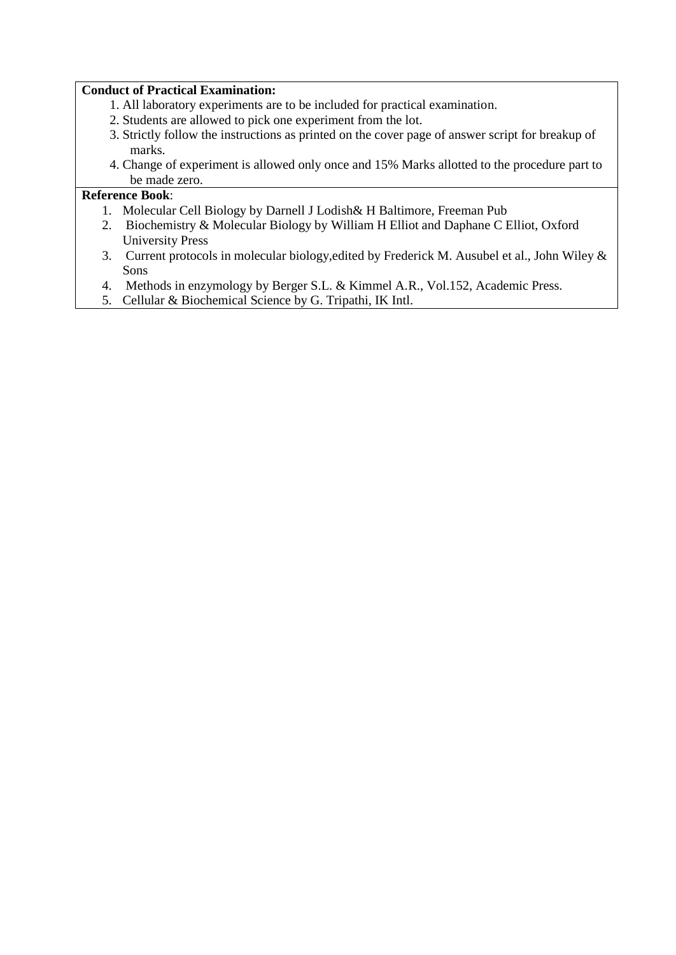### **Conduct of Practical Examination:**

- 1. All laboratory experiments are to be included for practical examination.
- 2. Students are allowed to pick one experiment from the lot.
- 3. Strictly follow the instructions as printed on the cover page of answer script for breakup of marks.
- 4. Change of experiment is allowed only once and 15% Marks allotted to the procedure part to be made zero.

- 1. Molecular Cell Biology by Darnell J Lodish& H Baltimore, Freeman Pub
- 2. Biochemistry & Molecular Biology by William H Elliot and Daphane C Elliot, Oxford University Press
- 3. Current protocols in molecular biology,edited by Frederick M. Ausubel et al., John Wiley & Sons
- 4. Methods in enzymology by Berger S.L. & Kimmel A.R., Vol.152, Academic Press.
- 5. Cellular & Biochemical Science by G. Tripathi, IK Intl.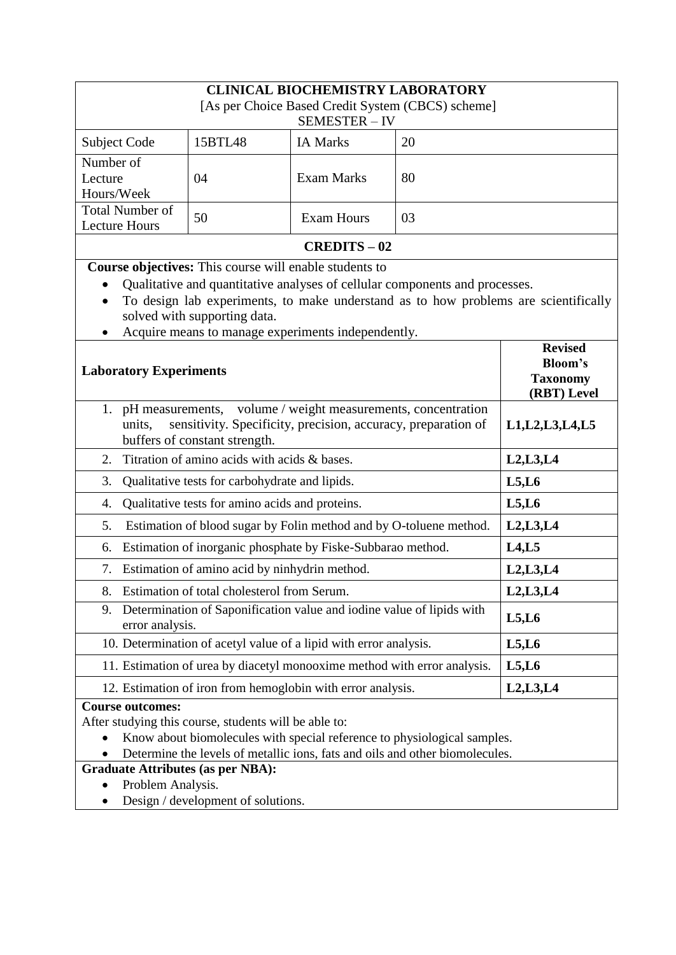| <b>CLINICAL BIOCHEMISTRY LABORATORY</b>                                                                                                        |                    |                   |    |  |  |  |
|------------------------------------------------------------------------------------------------------------------------------------------------|--------------------|-------------------|----|--|--|--|
| [As per Choice Based Credit System (CBCS) scheme]                                                                                              |                    |                   |    |  |  |  |
| SEMESTER-IV                                                                                                                                    |                    |                   |    |  |  |  |
| Subject Code                                                                                                                                   | 15BTL48            | <b>IA Marks</b>   | 20 |  |  |  |
| Number of                                                                                                                                      |                    |                   |    |  |  |  |
| Lecture<br>Hours/Week                                                                                                                          | 04                 | <b>Exam Marks</b> | 80 |  |  |  |
| <b>Total Number of</b>                                                                                                                         |                    |                   |    |  |  |  |
| <b>Lecture Hours</b>                                                                                                                           | 50                 | <b>Exam Hours</b> | 03 |  |  |  |
| <b>CREDITS - 02</b>                                                                                                                            |                    |                   |    |  |  |  |
| Course objectives: This course will enable students to                                                                                         |                    |                   |    |  |  |  |
| Qualitative and quantitative analyses of cellular components and processes.                                                                    |                    |                   |    |  |  |  |
| To design lab experiments, to make understand as to how problems are scientifically<br>$\bullet$                                               |                    |                   |    |  |  |  |
| solved with supporting data.<br>Acquire means to manage experiments independently.                                                             |                    |                   |    |  |  |  |
| <b>Revised</b>                                                                                                                                 |                    |                   |    |  |  |  |
| <b>Laboratory Experiments</b>                                                                                                                  | <b>Bloom's</b>     |                   |    |  |  |  |
|                                                                                                                                                | <b>Taxonomy</b>    |                   |    |  |  |  |
| pH measurements, volume / weight measurements, concentration<br>1.                                                                             | (RBT) Level        |                   |    |  |  |  |
| sensitivity. Specificity, precision, accuracy, preparation of<br>units,                                                                        | L1, L2, L3, L4, L5 |                   |    |  |  |  |
| buffers of constant strength.                                                                                                                  |                    |                   |    |  |  |  |
| Titration of amino acids with acids & bases.<br>2.                                                                                             | L2, L3, L4         |                   |    |  |  |  |
| 3.<br>Qualitative tests for carbohydrate and lipids.                                                                                           | L5, L6             |                   |    |  |  |  |
| Qualitative tests for amino acids and proteins.<br>4.                                                                                          | L5, L6             |                   |    |  |  |  |
| Estimation of blood sugar by Folin method and by O-toluene method.<br>5.                                                                       | L2, L3, L4         |                   |    |  |  |  |
| Estimation of inorganic phosphate by Fiske-Subbarao method.<br>6.                                                                              | L4, L5             |                   |    |  |  |  |
| 7. Estimation of amino acid by ninhydrin method.                                                                                               | L2, L3, L4         |                   |    |  |  |  |
| 8. Estimation of total cholesterol from Serum.                                                                                                 | L2, L3, L4         |                   |    |  |  |  |
| Determination of Saponification value and iodine value of lipids with<br>9.<br>error analysis.                                                 | L5, L6             |                   |    |  |  |  |
| 10. Determination of acetyl value of a lipid with error analysis.                                                                              | L5, L6             |                   |    |  |  |  |
| 11. Estimation of urea by diacetyl monooxime method with error analysis.                                                                       | L5, L6             |                   |    |  |  |  |
| 12. Estimation of iron from hemoglobin with error analysis.                                                                                    | L2, L3, L4         |                   |    |  |  |  |
| <b>Course outcomes:</b>                                                                                                                        |                    |                   |    |  |  |  |
| After studying this course, students will be able to:<br>Know about biomolecules with special reference to physiological samples.<br>$\bullet$ |                    |                   |    |  |  |  |
| Determine the levels of metallic ions, fats and oils and other biomolecules.                                                                   |                    |                   |    |  |  |  |
| <b>Graduate Attributes (as per NBA):</b>                                                                                                       |                    |                   |    |  |  |  |
| Problem Analysis.<br>$\bullet$                                                                                                                 |                    |                   |    |  |  |  |
| Design / development of solutions.                                                                                                             |                    |                   |    |  |  |  |